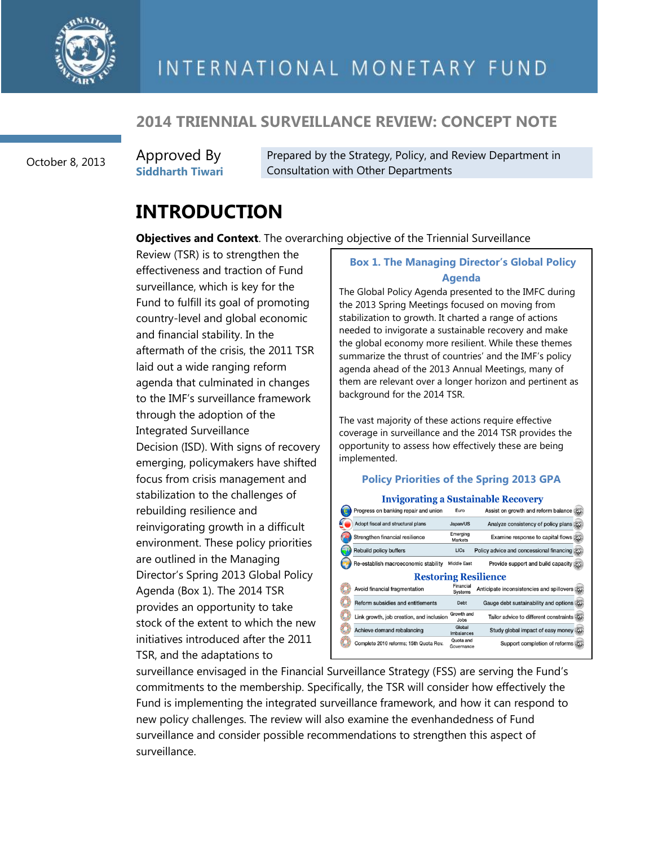

#### **2014 TRIENNIAL SURVEILLANCE REVIEW: CONCEPT NOTE**

October 8, 2013

Approved By **Siddharth Tiwari** Prepared by the Strategy, Policy, and Review Department in Consultation with Other Departments

## **INTRODUCTION**

**Objectives and Context**. The overarching objective of the Triennial Surveillance

Review (TSR) is to strengthen the effectiveness and traction of Fund surveillance, which is key for the Fund to fulfill its goal of promoting country-level and global economic and financial stability. In the aftermath of the crisis, the 2011 TSR laid out a wide ranging reform agenda that culminated in changes to the IMF's surveillance framework through the adoption of the Integrated Surveillance Decision (ISD). With signs of recovery emerging, policymakers have shifted focus from crisis management and stabilization to the challenges of rebuilding resilience and reinvigorating growth in a difficult environment. These policy priorities are outlined in the Managing Director's Spring 2013 Global Policy Agenda (Box 1). The 2014 TSR provides an opportunity to take stock of the extent to which the new initiatives introduced after the 2011 TSR, and the adaptations to

#### **Box 1. The Managing Director's Global Policy Agenda**

The Global Policy Agenda presented to the IMFC during the 2013 Spring Meetings focused on moving from stabilization to growth. It charted a range of actions needed to invigorate a sustainable recovery and make the global economy more resilient. While these themes summarize the thrust of countries' and the IMF's policy agenda ahead of the 2013 Annual Meetings, many of them are relevant over a longer horizon and pertinent as background for the 2014 TSR.

The vast majority of these actions require effective coverage in surveillance and the 2014 TSR provides the opportunity to assess how effectively these are being implemented.

#### **Policy Priorities of the Spring 2013 GPA**

**Invigorating a Sustainable Recovery** 

| Progress on banking repair and union     | Euro                        | Assist on growth and reform balance           |  |  |  |  |
|------------------------------------------|-----------------------------|-----------------------------------------------|--|--|--|--|
| Adopt fiscal and structural plans        | Japan/US                    | Analyze consistency of policy plans           |  |  |  |  |
| Strengthen financial resilience          | Emerging<br><b>Markets</b>  | Examine response to capital flows             |  |  |  |  |
| Rebuild policy buffers                   | <b>LICs</b>                 | Policy advice and concessional financing      |  |  |  |  |
| Re-establish macroeconomic stability     | <b>Middle East</b>          | Provide support and build capacity            |  |  |  |  |
| <b>Restoring Resilience</b>              |                             |                                               |  |  |  |  |
| Avoid financial fragmentation            | Financial<br><b>Systems</b> | Anticipate inconsistencies and spillovers (5) |  |  |  |  |
| Reform subsidies and entitlements        | Debt                        | Gauge debt sustainability and options         |  |  |  |  |
| Link growth, job creation, and inclusion | Growth and<br><b>Jobs</b>   | Tailor advice to different constraints        |  |  |  |  |
|                                          |                             |                                               |  |  |  |  |
| Achieve demand rebalancing               | Global<br>Imbalances        | Study global impact of easy money             |  |  |  |  |
| Complete 2010 reforms; 15th Quota Rev.   | Quota and<br>Governance     | Support completion of reforms (55)            |  |  |  |  |

surveillance envisaged in the Financial Surveillance Strategy (FSS) are serving the Fund's commitments to the membership. Specifically, the TSR will consider how effectively the Fund is implementing the integrated surveillance framework, and how it can respond to new policy challenges. The review will also examine the evenhandedness of Fund surveillance and consider possible recommendations to strengthen this aspect of surveillance.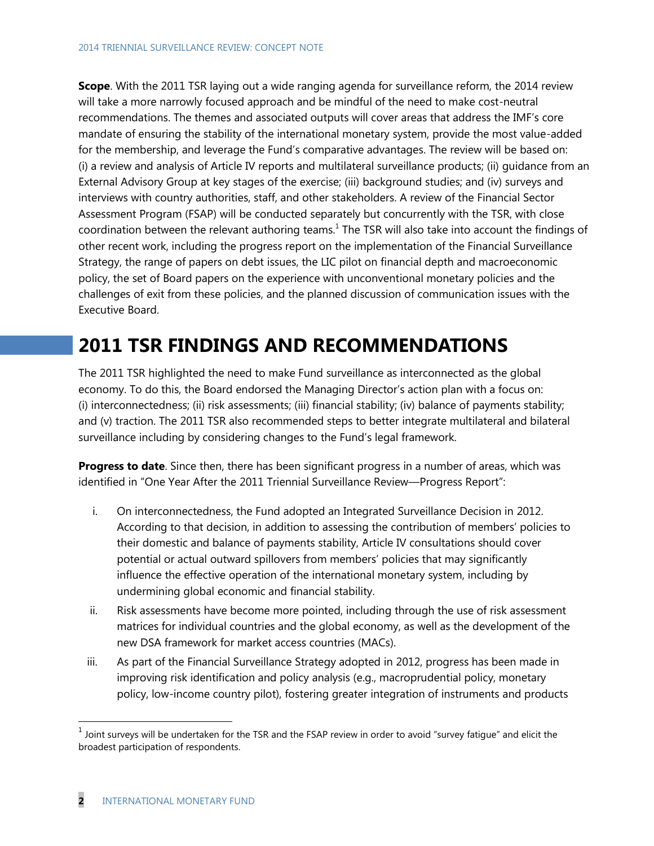**Scope**. With the 2011 TSR laying out a wide ranging agenda for surveillance reform, the 2014 review will take a more narrowly focused approach and be mindful of the need to make cost-neutral recommendations. The themes and associated outputs will cover areas that address the IMF's core mandate of ensuring the stability of the international monetary system, provide the most value-added for the membership, and leverage the Fund's comparative advantages. The review will be based on: (i) a review and analysis of Article IV reports and multilateral surveillance products; (ii) guidance from an External Advisory Group at key stages of the exercise; (iii) background studies; and (iv) surveys and interviews with country authorities, staff, and other stakeholders. A review of the Financial Sector Assessment Program (FSAP) will be conducted separately but concurrently with the TSR, with close coordination between the relevant authoring teams.<sup>1</sup> The TSR will also take into account the findings of other recent work, including the progress report on the implementation of the Financial Surveillance Strategy, the range of papers on debt issues, the LIC pilot on financial depth and macroeconomic policy, the set of Board papers on the experience with unconventional monetary policies and the challenges of exit from these policies, and the planned discussion of communication issues with the Executive Board.

## **2011 TSR FINDINGS AND RECOMMENDATIONS**

The 2011 TSR highlighted the need to make Fund surveillance as interconnected as the global economy. To do this, the Board endorsed the Managing Director's action plan with a focus on: (i) interconnectedness; (ii) risk assessments; (iii) financial stability; (iv) balance of payments stability; and (v) traction. The 2011 TSR also recommended steps to better integrate multilateral and bilateral surveillance including by considering changes to the Fund's legal framework.

**Progress to date**. Since then, there has been significant progress in a number of areas, which was identified in "One Year After the 2011 Triennial Surveillance Review—Progress Report":

- i. On interconnectedness, the Fund adopted an Integrated Surveillance Decision in 2012. According to that decision, in addition to assessing the contribution of members' policies to their domestic and balance of payments stability, Article IV consultations should cover potential or actual outward spillovers from members' policies that may significantly influence the effective operation of the international monetary system, including by undermining global economic and financial stability.
- ii. Risk assessments have become more pointed, including through the use of risk assessment matrices for individual countries and the global economy, as well as the development of the new DSA framework for market access countries (MACs).
- iii. As part of the Financial Surveillance Strategy adopted in 2012, progress has been made in improving risk identification and policy analysis (e.g., macroprudential policy, monetary policy, low-income country pilot), fostering greater integration of instruments and products

 $\overline{a}$ 

 $^1$  Joint surveys will be undertaken for the TSR and the FSAP review in order to avoid "survey fatigue" and elicit the broadest participation of respondents.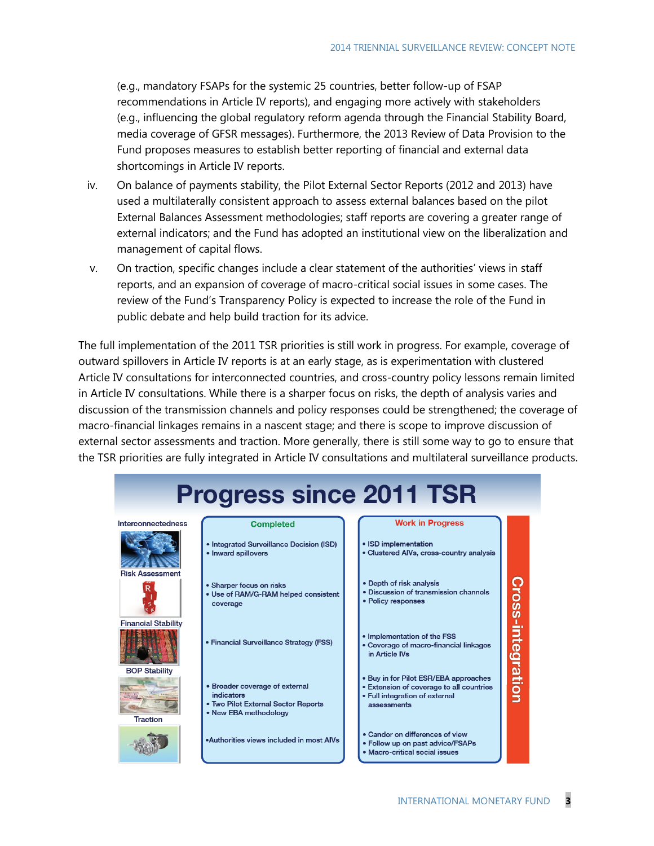(e.g., mandatory FSAPs for the systemic 25 countries, better follow-up of FSAP recommendations in Article IV reports), and engaging more actively with stakeholders (e.g., influencing the global regulatory reform agenda through the Financial Stability Board, media coverage of GFSR messages). Furthermore, the 2013 Review of Data Provision to the Fund proposes measures to establish better reporting of financial and external data shortcomings in Article IV reports.

- iv. On balance of payments stability, the Pilot External Sector Reports (2012 and 2013) have used a multilaterally consistent approach to assess external balances based on the pilot External Balances Assessment methodologies; staff reports are covering a greater range of external indicators; and the Fund has adopted an institutional view on the liberalization and management of capital flows.
- v. On traction, specific changes include a clear statement of the authorities' views in staff reports, and an expansion of coverage of macro-critical social issues in some cases. The review of the Fund's Transparency Policy is expected to increase the role of the Fund in public debate and help build traction for its advice.

The full implementation of the 2011 TSR priorities is still work in progress. For example, coverage of outward spillovers in Article IV reports is at an early stage, as is experimentation with clustered Article IV consultations for interconnected countries, and cross-country policy lessons remain limited in Article IV consultations. While there is a sharper focus on risks, the depth of analysis varies and discussion of the transmission channels and policy responses could be strengthened; the coverage of macro-financial linkages remains in a nascent stage; and there is scope to improve discussion of external sector assessments and traction. More generally, there is still some way to go to ensure that the TSR priorities are fully integrated in Article IV consultations and multilateral surveillance products.

| <b>Progress since 2011 TSR</b>          |                                                                                                              |  |                                                                                                                                    |                   |  |
|-----------------------------------------|--------------------------------------------------------------------------------------------------------------|--|------------------------------------------------------------------------------------------------------------------------------------|-------------------|--|
| nterconnectedness                       | <b>Completed</b>                                                                                             |  | <b>Work in Progress</b>                                                                                                            |                   |  |
|                                         | • Integrated Surveillance Decision (ISD)<br>• Inward spillovers                                              |  | • ISD implementation<br>• Clustered AIVs, cross-country analysis                                                                   |                   |  |
| <b>Risk Assessment</b>                  | • Sharper focus on risks<br>• Use of RAM/G-RAM helped consistent<br>coverage                                 |  | • Depth of risk analysis<br>. Discussion of transmission channels<br>• Policy responses                                            |                   |  |
| <b>Financial Stability</b>              | • Financial Surveillance Strategy (FSS)                                                                      |  | • Implementation of the FSS<br>• Coverage of macro-financial linkages<br>in Article IVs                                            | Cross-integration |  |
| <b>BOP Stability</b><br><b>Traction</b> | • Broader coverage of external<br>indicators<br>• Two Pilot External Sector Reports<br>• New EBA methodology |  | • Buy in for Pilot ESR/EBA approaches<br>• Extension of coverage to all countries<br>• Full integration of external<br>assessments |                   |  |
|                                         | .Authorities views included in most AIVs                                                                     |  | • Candor on differences of view<br>• Follow up on past advice/FSAPs<br>• Macro-critical social issues                              |                   |  |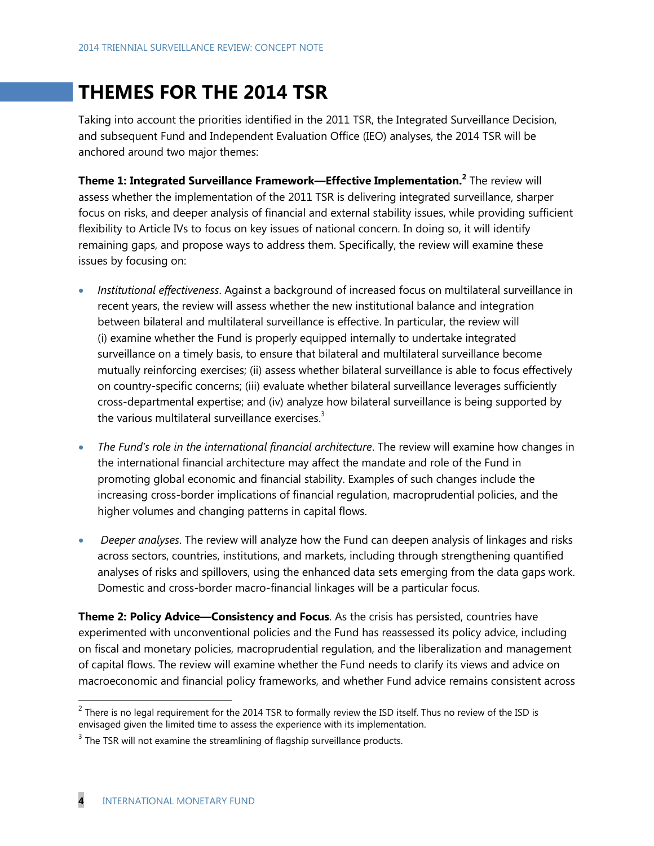## **THEMES FOR THE 2014 TSR**

Taking into account the priorities identified in the 2011 TSR, the Integrated Surveillance Decision, and subsequent Fund and Independent Evaluation Office (IEO) analyses, the 2014 TSR will be anchored around two major themes:

**Theme 1: Integrated Surveillance Framework—Effective Implementation.<sup>2</sup>** The review will assess whether the implementation of the 2011 TSR is delivering integrated surveillance, sharper focus on risks, and deeper analysis of financial and external stability issues, while providing sufficient flexibility to Article IVs to focus on key issues of national concern. In doing so, it will identify remaining gaps, and propose ways to address them. Specifically, the review will examine these issues by focusing on:

- *Institutional effectiveness*. Against a background of increased focus on multilateral surveillance in recent years, the review will assess whether the new institutional balance and integration between bilateral and multilateral surveillance is effective. In particular, the review will (i) examine whether the Fund is properly equipped internally to undertake integrated surveillance on a timely basis, to ensure that bilateral and multilateral surveillance become mutually reinforcing exercises; (ii) assess whether bilateral surveillance is able to focus effectively on country-specific concerns; (iii) evaluate whether bilateral surveillance leverages sufficiently cross-departmental expertise; and (iv) analyze how bilateral surveillance is being supported by the various multilateral surveillance exercises.<sup>3</sup>
- *The Fund's role in the international financial architecture*. The review will examine how changes in the international financial architecture may affect the mandate and role of the Fund in promoting global economic and financial stability. Examples of such changes include the increasing cross-border implications of financial regulation, macroprudential policies, and the higher volumes and changing patterns in capital flows.
- *Deeper analyses*. The review will analyze how the Fund can deepen analysis of linkages and risks across sectors, countries, institutions, and markets, including through strengthening quantified analyses of risks and spillovers, using the enhanced data sets emerging from the data gaps work. Domestic and cross-border macro-financial linkages will be a particular focus.

**Theme 2: Policy Advice—Consistency and Focus**. As the crisis has persisted, countries have experimented with unconventional policies and the Fund has reassessed its policy advice, including on fiscal and monetary policies, macroprudential regulation, and the liberalization and management of capital flows. The review will examine whether the Fund needs to clarify its views and advice on macroeconomic and financial policy frameworks, and whether Fund advice remains consistent across

**EXECUTE:**<br><sup>2</sup> There is no legal requirement for the 2014 TSR to formally review the ISD itself. Thus no review of the ISD is envisaged given the limited time to assess the experience with its implementation.

 $3$  The TSR will not examine the streamlining of flagship surveillance products.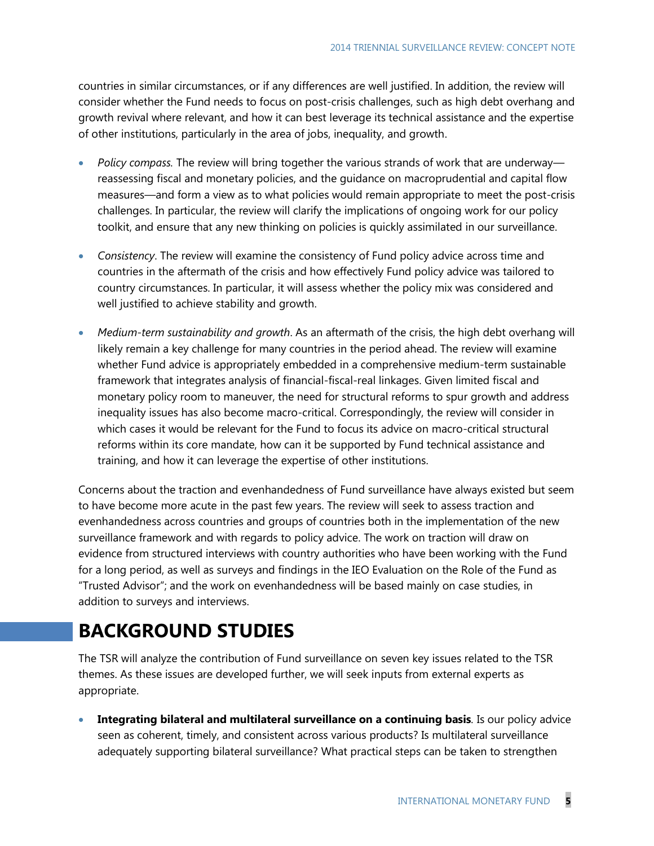countries in similar circumstances, or if any differences are well justified. In addition, the review will consider whether the Fund needs to focus on post-crisis challenges, such as high debt overhang and growth revival where relevant, and how it can best leverage its technical assistance and the expertise of other institutions, particularly in the area of jobs, inequality, and growth.

- *Policy compass.* The review will bring together the various strands of work that are underway reassessing fiscal and monetary policies, and the guidance on macroprudential and capital flow measures—and form a view as to what policies would remain appropriate to meet the post-crisis challenges. In particular, the review will clarify the implications of ongoing work for our policy toolkit, and ensure that any new thinking on policies is quickly assimilated in our surveillance.
- *Consistency*. The review will examine the consistency of Fund policy advice across time and countries in the aftermath of the crisis and how effectively Fund policy advice was tailored to country circumstances. In particular, it will assess whether the policy mix was considered and well justified to achieve stability and growth.
- *Medium-term sustainability and growth*. As an aftermath of the crisis, the high debt overhang will likely remain a key challenge for many countries in the period ahead. The review will examine whether Fund advice is appropriately embedded in a comprehensive medium-term sustainable framework that integrates analysis of financial-fiscal-real linkages. Given limited fiscal and monetary policy room to maneuver, the need for structural reforms to spur growth and address inequality issues has also become macro-critical. Correspondingly, the review will consider in which cases it would be relevant for the Fund to focus its advice on macro-critical structural reforms within its core mandate, how can it be supported by Fund technical assistance and training, and how it can leverage the expertise of other institutions.

Concerns about the traction and evenhandedness of Fund surveillance have always existed but seem to have become more acute in the past few years. The review will seek to assess traction and evenhandedness across countries and groups of countries both in the implementation of the new surveillance framework and with regards to policy advice. The work on traction will draw on evidence from structured interviews with country authorities who have been working with the Fund for a long period, as well as surveys and findings in the IEO Evaluation on the Role of the Fund as "Trusted Advisor"; and the work on evenhandedness will be based mainly on case studies, in addition to surveys and interviews.

# **BACKGROUND STUDIES**

The TSR will analyze the contribution of Fund surveillance on seven key issues related to the TSR themes. As these issues are developed further, we will seek inputs from external experts as appropriate.

 **Integrating bilateral and multilateral surveillance on a continuing basis***.* Is our policy advice seen as coherent, timely, and consistent across various products? Is multilateral surveillance adequately supporting bilateral surveillance? What practical steps can be taken to strengthen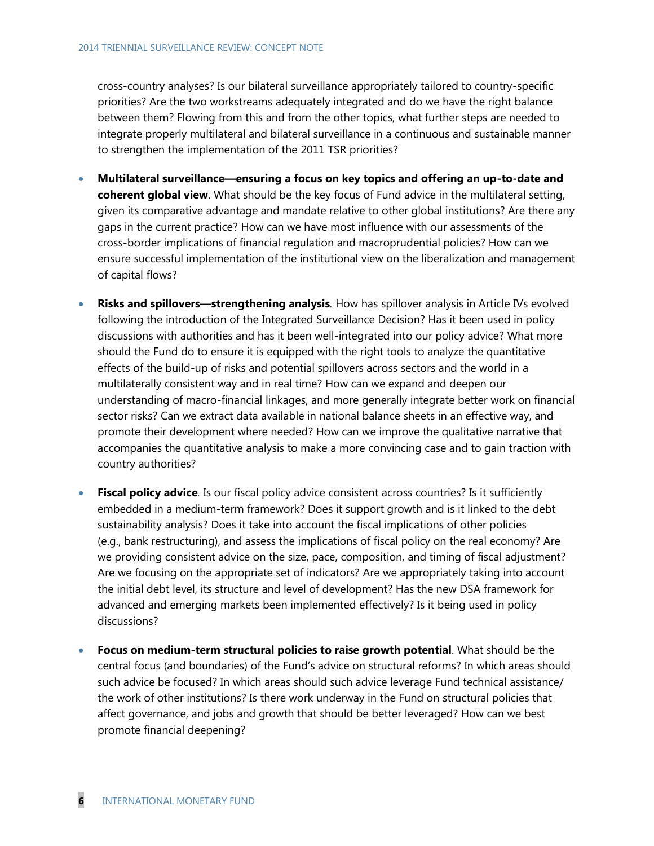cross-country analyses? Is our bilateral surveillance appropriately tailored to country-specific priorities? Are the two workstreams adequately integrated and do we have the right balance between them? Flowing from this and from the other topics, what further steps are needed to integrate properly multilateral and bilateral surveillance in a continuous and sustainable manner to strengthen the implementation of the 2011 TSR priorities?

- **Multilateral surveillance—ensuring a focus on key topics and offering an up-to-date and coherent global view**. What should be the key focus of Fund advice in the multilateral setting, given its comparative advantage and mandate relative to other global institutions? Are there any gaps in the current practice? How can we have most influence with our assessments of the cross-border implications of financial regulation and macroprudential policies? How can we ensure successful implementation of the institutional view on the liberalization and management of capital flows?
- **Risks and spillovers—strengthening analysis***.* How has spillover analysis in Article IVs evolved following the introduction of the Integrated Surveillance Decision? Has it been used in policy discussions with authorities and has it been well-integrated into our policy advice? What more should the Fund do to ensure it is equipped with the right tools to analyze the quantitative effects of the build-up of risks and potential spillovers across sectors and the world in a multilaterally consistent way and in real time? How can we expand and deepen our understanding of macro-financial linkages, and more generally integrate better work on financial sector risks? Can we extract data available in national balance sheets in an effective way, and promote their development where needed? How can we improve the qualitative narrative that accompanies the quantitative analysis to make a more convincing case and to gain traction with country authorities?
- **Fiscal policy advice***.* Is our fiscal policy advice consistent across countries? Is it sufficiently embedded in a medium-term framework? Does it support growth and is it linked to the debt sustainability analysis? Does it take into account the fiscal implications of other policies (e.g., bank restructuring), and assess the implications of fiscal policy on the real economy? Are we providing consistent advice on the size, pace, composition, and timing of fiscal adjustment? Are we focusing on the appropriate set of indicators? Are we appropriately taking into account the initial debt level, its structure and level of development? Has the new DSA framework for advanced and emerging markets been implemented effectively? Is it being used in policy discussions?
- **Focus on medium-term structural policies to raise growth potential**. What should be the central focus (and boundaries) of the Fund's advice on structural reforms? In which areas should such advice be focused? In which areas should such advice leverage Fund technical assistance/ the work of other institutions? Is there work underway in the Fund on structural policies that affect governance, and jobs and growth that should be better leveraged? How can we best promote financial deepening?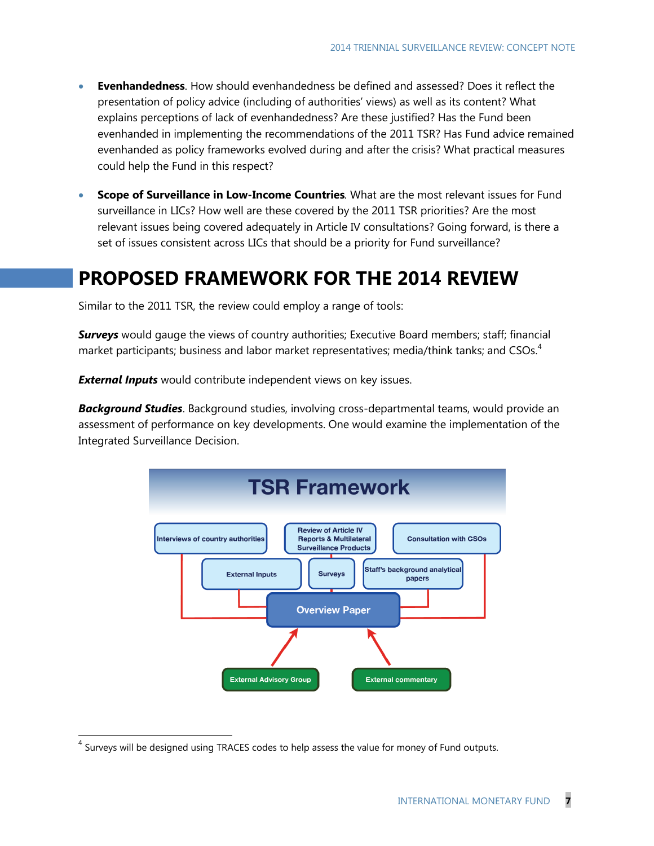- **Evenhandedness**. How should evenhandedness be defined and assessed? Does it reflect the presentation of policy advice (including of authorities' views) as well as its content? What explains perceptions of lack of evenhandedness? Are these justified? Has the Fund been evenhanded in implementing the recommendations of the 2011 TSR? Has Fund advice remained evenhanded as policy frameworks evolved during and after the crisis? What practical measures could help the Fund in this respect?
- **Scope of Surveillance in Low-Income Countries***.* What are the most relevant issues for Fund surveillance in LICs? How well are these covered by the 2011 TSR priorities? Are the most relevant issues being covered adequately in Article IV consultations? Going forward, is there a set of issues consistent across LICs that should be a priority for Fund surveillance?

### **PROPOSED FRAMEWORK FOR THE 2014 REVIEW**

Similar to the 2011 TSR, the review could employ a range of tools:

*Surveys* would gauge the views of country authorities; Executive Board members; staff; financial market participants; business and labor market representatives; media/think tanks; and CSOs. $4$ 

*External Inputs* would contribute independent views on key issues.

*Background Studies*. Background studies, involving cross-departmental teams, would provide an assessment of performance on key developments. One would examine the implementation of the Integrated Surveillance Decision.



<sup>&</sup>lt;sup>4</sup> Surveys will be designed using TRACES codes to help assess the value for money of Fund outputs.

 $\overline{a}$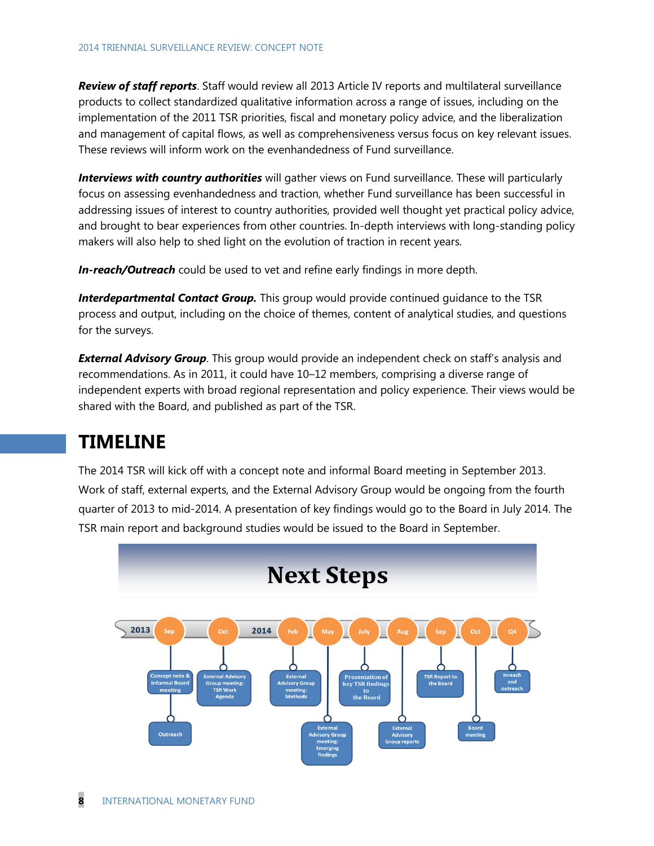*Review of staff reports*. Staff would review all 2013 Article IV reports and multilateral surveillance products to collect standardized qualitative information across a range of issues, including on the implementation of the 2011 TSR priorities, fiscal and monetary policy advice, and the liberalization and management of capital flows, as well as comprehensiveness versus focus on key relevant issues. These reviews will inform work on the evenhandedness of Fund surveillance.

*Interviews with country authorities* will gather views on Fund surveillance. These will particularly focus on assessing evenhandedness and traction, whether Fund surveillance has been successful in addressing issues of interest to country authorities, provided well thought yet practical policy advice, and brought to bear experiences from other countries. In-depth interviews with long-standing policy makers will also help to shed light on the evolution of traction in recent years.

*In-reach/Outreach* could be used to vet and refine early findings in more depth.

*Interdepartmental Contact Group.* This group would provide continued guidance to the TSR process and output, including on the choice of themes, content of analytical studies, and questions for the surveys.

*External Advisory Group*. This group would provide an independent check on staff's analysis and recommendations. As in 2011, it could have 10–12 members, comprising a diverse range of independent experts with broad regional representation and policy experience. Their views would be shared with the Board, and published as part of the TSR.

### **TIMELINE**

The 2014 TSR will kick off with a concept note and informal Board meeting in September 2013. Work of staff, external experts, and the External Advisory Group would be ongoing from the fourth quarter of 2013 to mid-2014. A presentation of key findings would go to the Board in July 2014. The TSR main report and background studies would be issued to the Board in September.